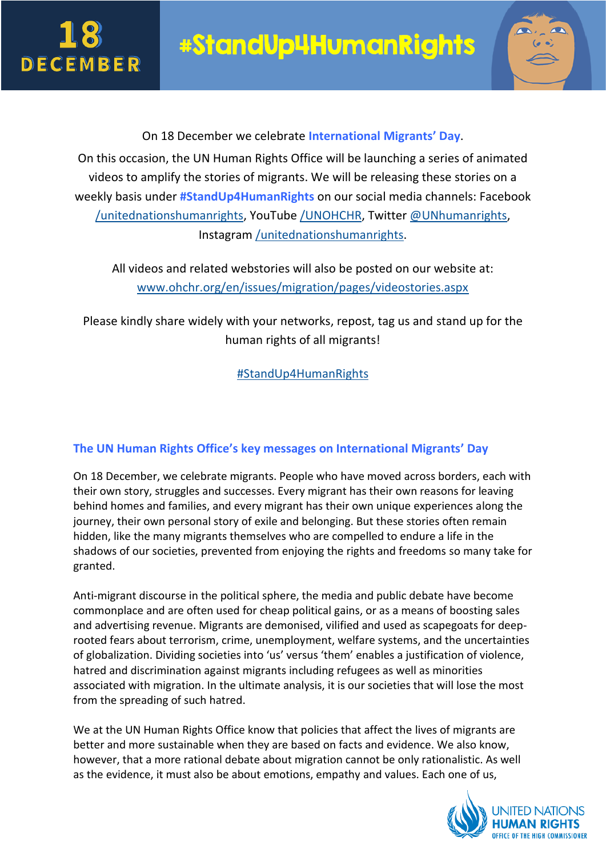



On 18 December we celebrate **International Migrants' Day**. On this occasion, the UN Human Rights Office will be launching a series of animated videos to amplify the stories of migrants. We will be releasing these stories on a weekly basis under **#StandUp4HumanRights** on our social media channels: Facebook [/unitednationshumanrights,](https://www.facebook.com/unitednationshumanrights/) YouTube [/UNOHCHR,](https://www.youtube.com/user/UNOHCHR) Twitter [@UNhumanrights,](https://twitter.com/UNHumanRights) Instagram [/unitednationshumanrights.](https://www.instagram.com/UnitedNationsHumanRights/)

All videos and related webstories will also be posted on our website at: [www.ohchr.org/en/issues/migration/pages/videostories.aspx](http://www.ohchr.org/en/issues/migration/pages/videostories.aspx)

Please kindly share widely with your networks, repost, tag us and stand up for the human rights of all migrants!

[#StandUp4HumanRights](http://www.ohchr.org/en/issues/migration/pages/videostories.aspx)

## **The UN Human Rights Office's key messages on International Migrants' Day**

On 18 December, we celebrate migrants. People who have moved across borders, each with their own story, struggles and successes. Every migrant has their own reasons for leaving behind homes and families, and every migrant has their own unique experiences along the journey, their own personal story of exile and belonging. But these stories often remain hidden, like the many migrants themselves who are compelled to endure a life in the shadows of our societies, prevented from enjoying the rights and freedoms so many take for granted.

Anti-migrant discourse in the political sphere, the media and public debate have become commonplace and are often used for cheap political gains, or as a means of boosting sales and advertising revenue. Migrants are demonised, vilified and used as scapegoats for deeprooted fears about terrorism, crime, unemployment, welfare systems, and the uncertainties of globalization. Dividing societies into 'us' versus 'them' enables a justification of violence, hatred and discrimination against migrants including refugees as well as minorities associated with migration. In the ultimate analysis, it is our societies that will lose the most from the spreading of such hatred.

We at the UN Human Rights Office know that policies that affect the lives of migrants are better and more sustainable when they are based on facts and evidence. We also know, however, that a more rational debate about migration cannot be only rationalistic. As well as the evidence, it must also be about emotions, empathy and values. Each one of us,